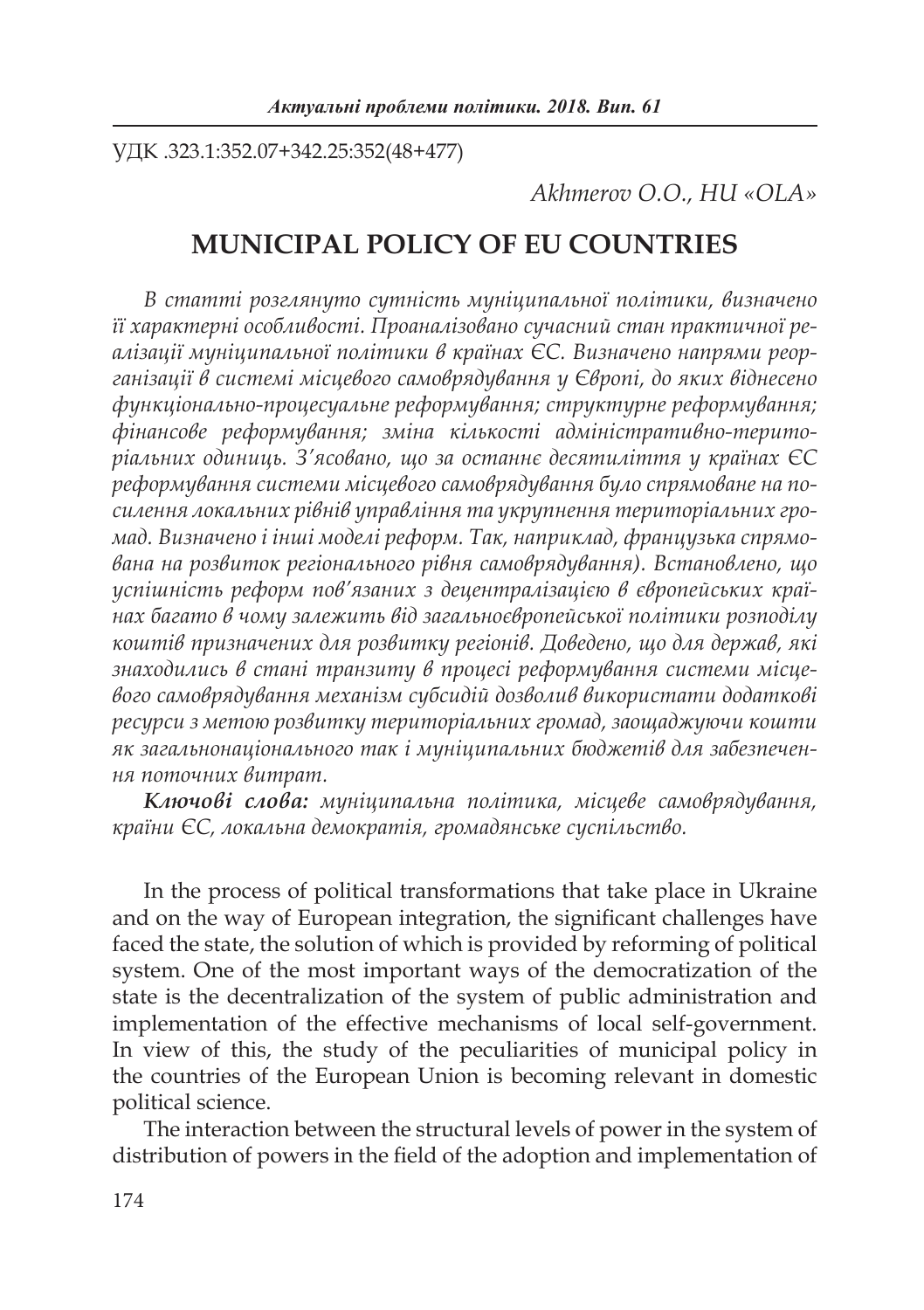УДК .323.1:352.07+342.25:352(48+477)

*Akhmerov О.О., НU «ОLА»*

## **MUNICIPAL POLICY OF EU COUNTRIES**

*В статті розглянуто сутність муніципальної політики, визначено її характерні особливості. Проаналізовано сучасний стан практичної реалізації муніципальної політики в країнах ЄС. Визначено напрями реорганізації в системі місцевого самоврядування у Європі, до яких віднесено функціонально-процесуальне реформування; структурне реформування; фінансове реформування; зміна кількості адміністративно-територіальних одиниць. З'ясовано, що за останнє десятиліття у країнах ЄС реформування системи місцевого самоврядування було спрямоване на посилення локальних рівнів управління та укрупнення територіальних громад. Визначено і інші моделі реформ. Так, наприклад, французька спрямована на розвиток регіонального рівня самоврядування). Встановлено, що успішність реформ пов'язаних з децентралізацією в європейських країнах багато в чому залежить від загальноєвропейської політики розподілу коштів призначених для розвитку регіонів. Доведено, що для держав, які знаходились в стані транзиту в процесі реформування системи місцевого самоврядування механізм субсидій дозволив використати додаткові ресурси з метою розвитку територіальних громад, заощаджуючи кошти як загальнонаціонального так і муніципальних бюджетів для забезпечення поточних витрат.*

*Ключові слова: муніципальна політика, місцеве самоврядування, країни ЄС, локальна демократія, громадянське суспільство.*

In the process of political transformations that take place in Ukraine and on the way of European integration, the significant challenges have faced the state, the solution of which is provided by reforming of political system. One of the most important ways of the democratization of the state is the decentralization of the system of public administration and implementation of the effective mechanisms of local self-government. In view of this, the study of the peculiarities of municipal policy in the countries of the European Union is becoming relevant in domestic political science.

The interaction between the structural levels of power in the system of distribution of powers in the field of the adoption and implementation of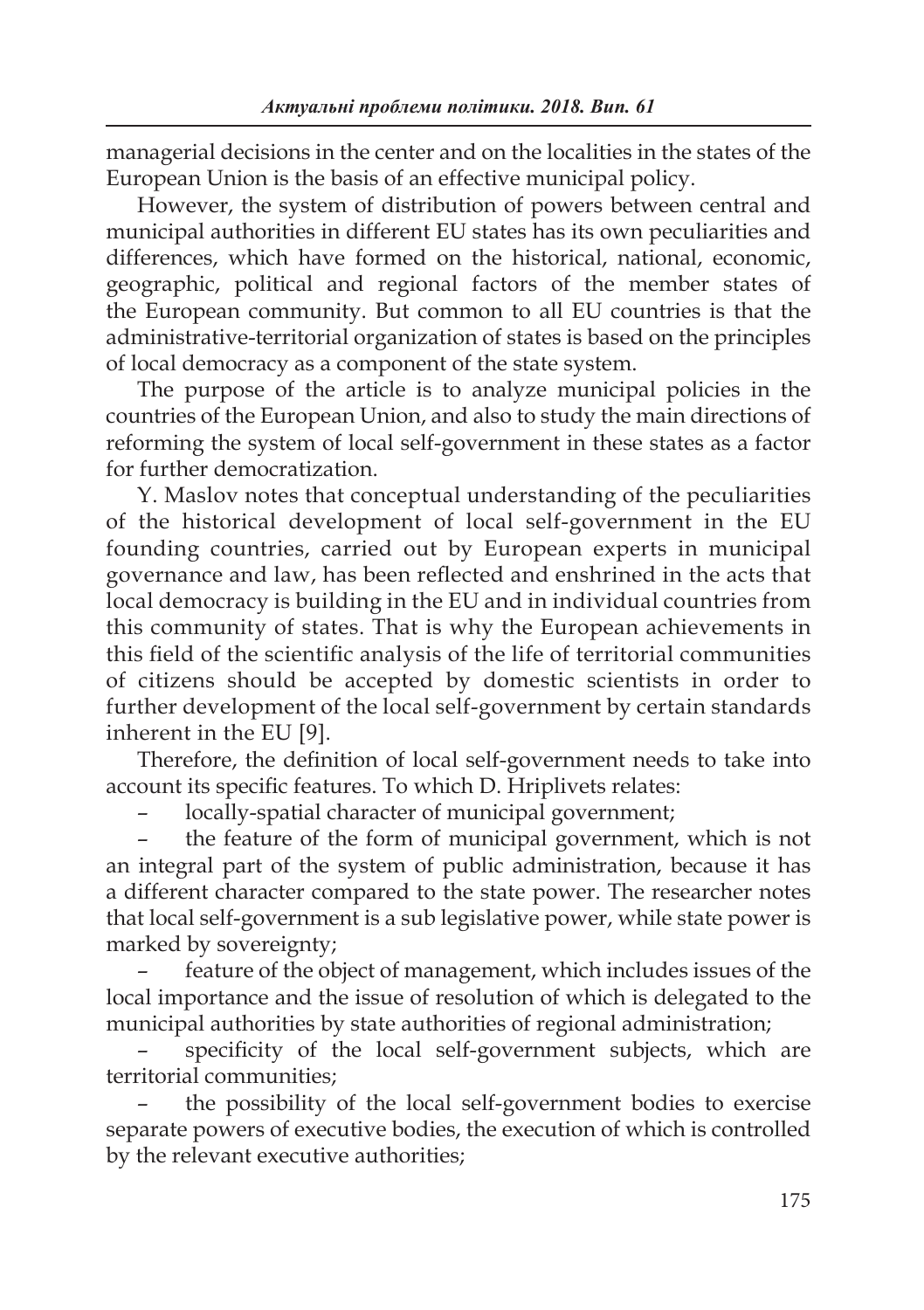managerial decisions in the center and on the localities in the states of the European Union is the basis of an effective municipal policy.

However, the system of distribution of powers between central and municipal authorities in different EU states has its own peculiarities and differences, which have formed on the historical, national, economic, geographic, political and regional factors of the member states of the European community. But common to all EU countries is that the administrative-territorial organization of states is based on the principles of local democracy as a component of the state system.

The purpose of the article is to analyze municipal policies in the countries of the European Union, and also to study the main directions of reforming the system of local self-government in these states as a factor for further democratization.

Y. Maslov notes that conceptual understanding of the peculiarities of the historical development of local self-government in the EU founding countries, carried out by European experts in municipal governance and law, has been reflected and enshrined in the acts that local democracy is building in the EU and in individual countries from this community of states. That is why the European achievements in this field of the scientific analysis of the life of territorial communities of citizens should be accepted by domestic scientists in order to further development of the local self-government by certain standards inherent in the EU [9].

Therefore, the definition of local self-government needs to take into account its specific features. To which D. Hriplivets relates:

locally-spatial character of municipal government;

– the feature of the form of municipal government, which is not an integral part of the system of public administration, because it has a different character compared to the state power. The researcher notes that local self-government is a sub legislative power, while state power is marked by sovereignty;

– feature of the object of management, which includes issues of the local importance and the issue of resolution of which is delegated to the municipal authorities by state authorities of regional administration;

specificity of the local self-government subjects, which are territorial communities;

– the possibility of the local self-government bodies to exercise separate powers of executive bodies, the execution of which is controlled by the relevant executive authorities;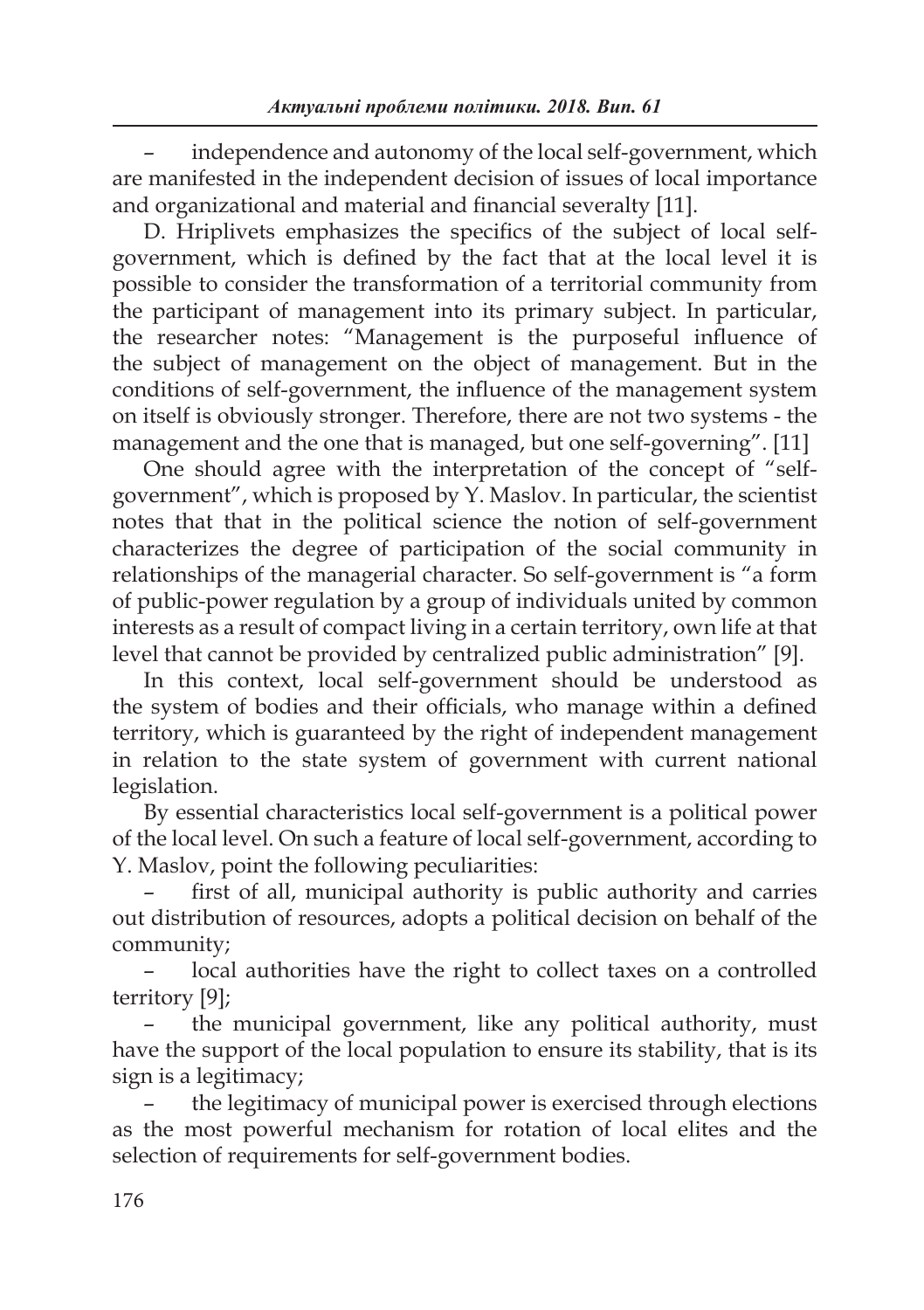– independence and autonomy of the local self-government, which are manifested in the independent decision of issues of local importance and organizational and material and financial severalty [11].

D. Hriplivets emphasizes the specifics of the subject of local selfgovernment, which is defined by the fact that at the local level it is possible to consider the transformation of a territorial community from the participant of management into its primary subject. In particular, the researcher notes: "Management is the purposeful influence of the subject of management on the object of management. But in the conditions of self-government, the influence of the management system on itself is obviously stronger. Therefore, there are not two systems - the management and the one that is managed, but one self-governing". [11]

One should agree with the interpretation of the concept of "selfgovernment", which is proposed by Y. Maslov. In particular, the scientist notes that that in the political science the notion of self-government characterizes the degree of participation of the social community in relationships of the managerial character. So self-government is "a form of public-power regulation by a group of individuals united by common interests as a result of compact living in a certain territory, own life at that level that cannot be provided by centralized public administration" [9].

In this context, local self-government should be understood as the system of bodies and their officials, who manage within a defined territory, which is guaranteed by the right of independent management in relation to the state system of government with current national legislation.

By essential characteristics local self-government is a political power of the local level. On such a feature of local self-government, according to Y. Maslov, point the following peculiarities:

– first of all, municipal authority is public authority and carries out distribution of resources, adopts a political decision on behalf of the community;

local authorities have the right to collect taxes on a controlled territory [9];

the municipal government, like any political authority, must have the support of the local population to ensure its stability, that is its sign is a legitimacy;

the legitimacy of municipal power is exercised through elections as the most powerful mechanism for rotation of local elites and the selection of requirements for self-government bodies.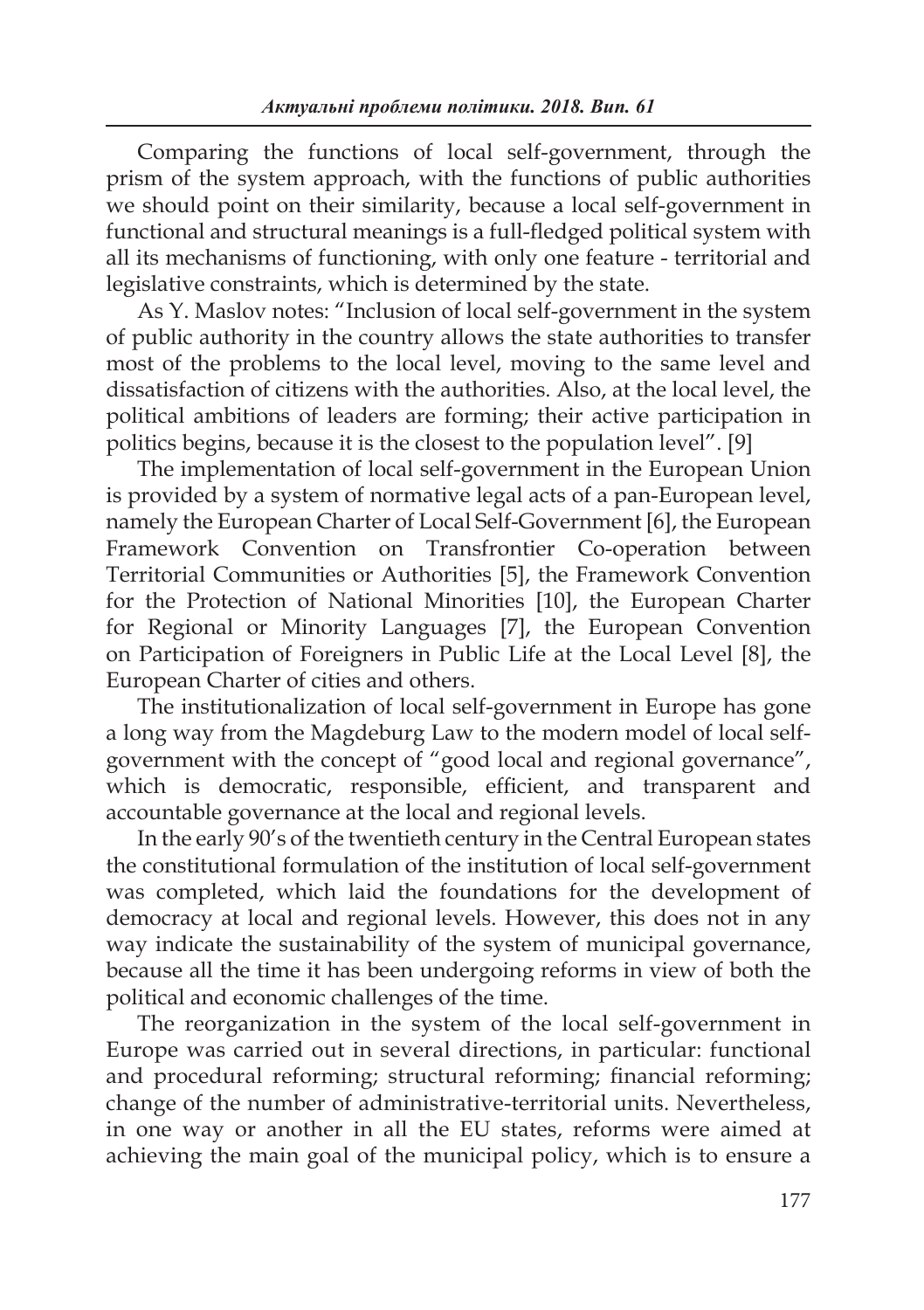Comparing the functions of local self-government, through the prism of the system approach, with the functions of public authorities we should point on their similarity, because a local self-government in functional and structural meanings is a full-fledged political system with all its mechanisms of functioning, with only one feature - territorial and legislative constraints, which is determined by the state.

As Y. Maslov notes: "Inclusion of local self-government in the system of public authority in the country allows the state authorities to transfer most of the problems to the local level, moving to the same level and dissatisfaction of citizens with the authorities. Also, at the local level, the political ambitions of leaders are forming; their active participation in politics begins, because it is the closest to the population level". [9]

The implementation of local self-government in the European Union is provided by a system of normative legal acts of a pan-European level, namely the European Charter of Local Self-Government [6], the European Framework Convention on Transfrontier Co-operation between Territorial Communities or Authorities [5], the Framework Convention for the Protection of National Minorities [10], the European Charter for Regional or Minority Languages [7], the European Convention on Participation of Foreigners in Public Life at the Local Level [8], the European Charter of cities and others.

The institutionalization of local self-government in Europe has gone a long way from the Magdeburg Law to the modern model of local selfgovernment with the concept of "good local and regional governance", which is democratic, responsible, efficient, and transparent and accountable governance at the local and regional levels.

In the early 90's of the twentieth century in the Central European states the constitutional formulation of the institution of local self-government was completed, which laid the foundations for the development of democracy at local and regional levels. However, this does not in any way indicate the sustainability of the system of municipal governance, because all the time it has been undergoing reforms in view of both the political and economic challenges of the time.

The reorganization in the system of the local self-government in Europe was carried out in several directions, in particular: functional and procedural reforming; structural reforming; financial reforming; change of the number of administrative-territorial units. Nevertheless, in one way or another in all the EU states, reforms were aimed at achieving the main goal of the municipal policy, which is to ensure a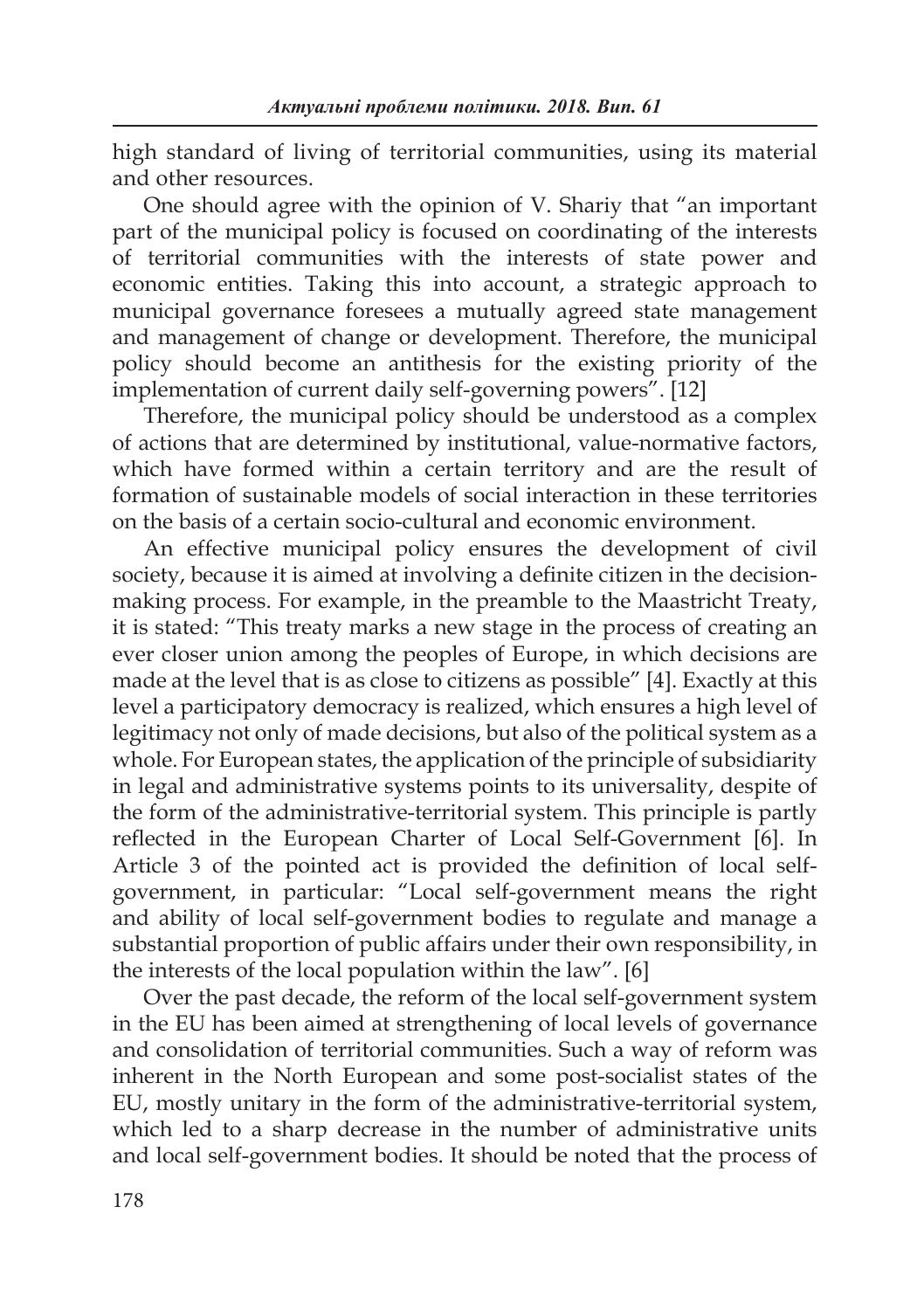high standard of living of territorial communities, using its material and other resources.

One should agree with the opinion of V. Shariy that "an important part of the municipal policy is focused on coordinating of the interests of territorial communities with the interests of state power and economic entities. Taking this into account, a strategic approach to municipal governance foresees a mutually agreed state management and management of change or development. Therefore, the municipal policy should become an antithesis for the existing priority of the implementation of current daily self-governing powers". [12]

Therefore, the municipal policy should be understood as a complex of actions that are determined by institutional, value-normative factors, which have formed within a certain territory and are the result of formation of sustainable models of social interaction in these territories on the basis of a certain socio-cultural and economic environment.

An effective municipal policy ensures the development of civil society, because it is aimed at involving a definite citizen in the decisionmaking process. For example, in the preamble to the Maastricht Treaty, it is stated: "This treaty marks a new stage in the process of creating an ever closer union among the peoples of Europe, in which decisions are made at the level that is as close to citizens as possible" [4]. Exactly at this level a participatory democracy is realized, which ensures a high level of legitimacy not only of made decisions, but also of the political system as a whole. For European states, the application of the principle of subsidiarity in legal and administrative systems points to its universality, despite of the form of the administrative-territorial system. This principle is partly reflected in the European Charter of Local Self-Government [6]. In Article 3 of the pointed act is provided the definition of local selfgovernment, in particular: "Local self-government means the right and ability of local self-government bodies to regulate and manage a substantial proportion of public affairs under their own responsibility, in the interests of the local population within the law". [6]

Over the past decade, the reform of the local self-government system in the EU has been aimed at strengthening of local levels of governance and consolidation of territorial communities. Such a way of reform was inherent in the North European and some post-socialist states of the EU, mostly unitary in the form of the administrative-territorial system, which led to a sharp decrease in the number of administrative units and local self-government bodies. It should be noted that the process of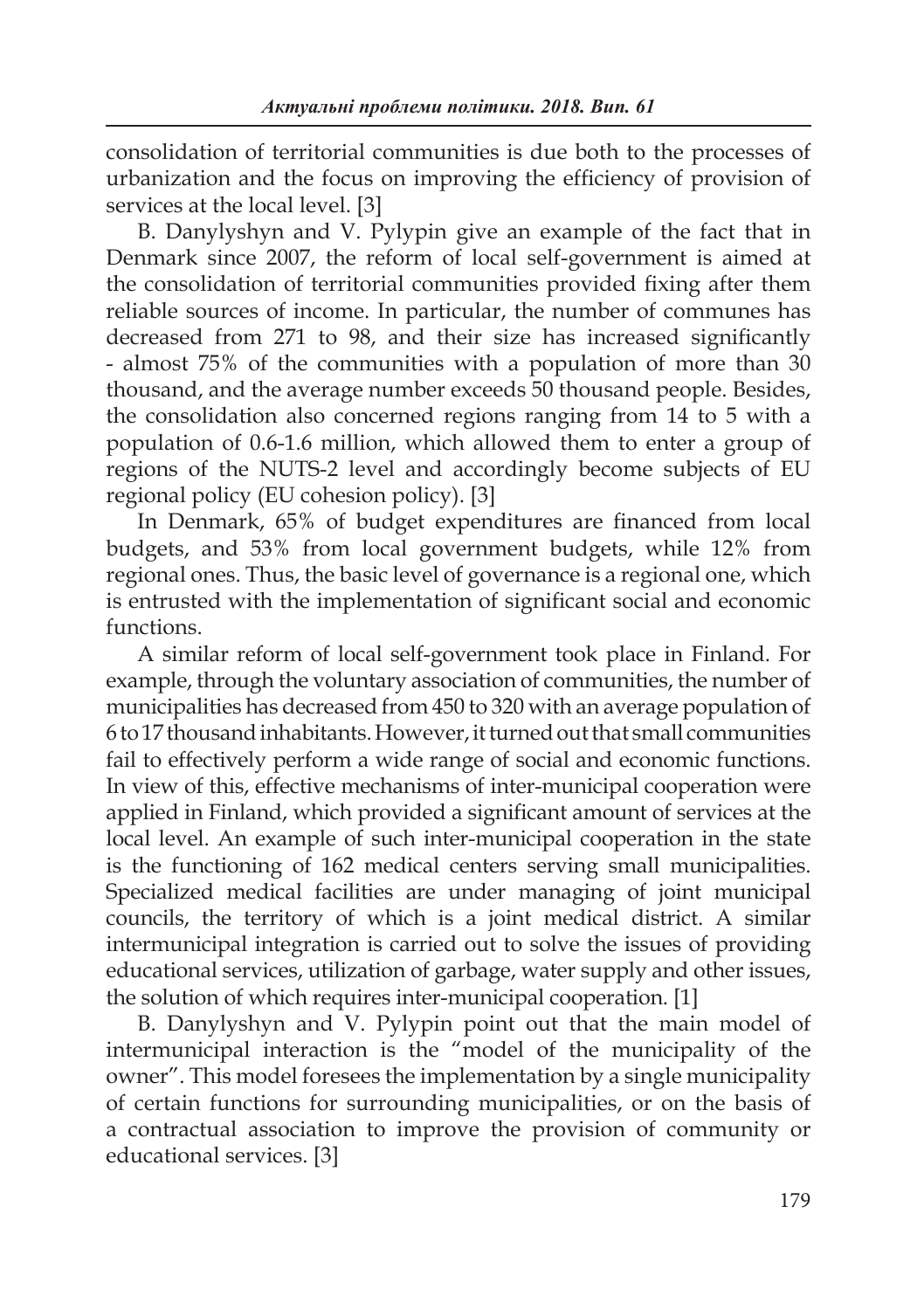consolidation of territorial communities is due both to the processes of urbanization and the focus on improving the efficiency of provision of services at the local level. [3]

B. Danylyshyn and V. Pylypin give an example of the fact that in Denmark since 2007, the reform of local self-government is aimed at the consolidation of territorial communities provided fixing after them reliable sources of income. In particular, the number of communes has decreased from 271 to 98, and their size has increased significantly - almost 75% of the communities with a population of more than 30 thousand, and the average number exceeds 50 thousand people. Besides, the consolidation also concerned regions ranging from 14 to 5 with a population of 0.6-1.6 million, which allowed them to enter a group of regions of the NUTS-2 level and accordingly become subjects of EU regional policy (EU cohesion policy). [3]

In Denmark, 65% of budget expenditures are financed from local budgets, and 53% from local government budgets, while 12% from regional ones. Thus, the basic level of governance is a regional one, which is entrusted with the implementation of significant social and economic functions.

A similar reform of local self-government took place in Finland. For example, through the voluntary association of communities, the number of municipalities has decreased from 450 to 320 with an average population of 6 to 17 thousand inhabitants. However, it turned out that small communities fail to effectively perform a wide range of social and economic functions. In view of this, effective mechanisms of inter-municipal cooperation were applied in Finland, which provided a significant amount of services at the local level. An example of such inter-municipal cooperation in the state is the functioning of 162 medical centers serving small municipalities. Specialized medical facilities are under managing of joint municipal councils, the territory of which is a joint medical district. A similar intermunicipal integration is carried out to solve the issues of providing educational services, utilization of garbage, water supply and other issues, the solution of which requires inter-municipal cooperation. [1]

B. Danylyshyn and V. Pylypin point out that the main model of intermunicipal interaction is the "model of the municipality of the owner". This model foresees the implementation by a single municipality of certain functions for surrounding municipalities, or on the basis of a contractual association to improve the provision of community or educational services. [3]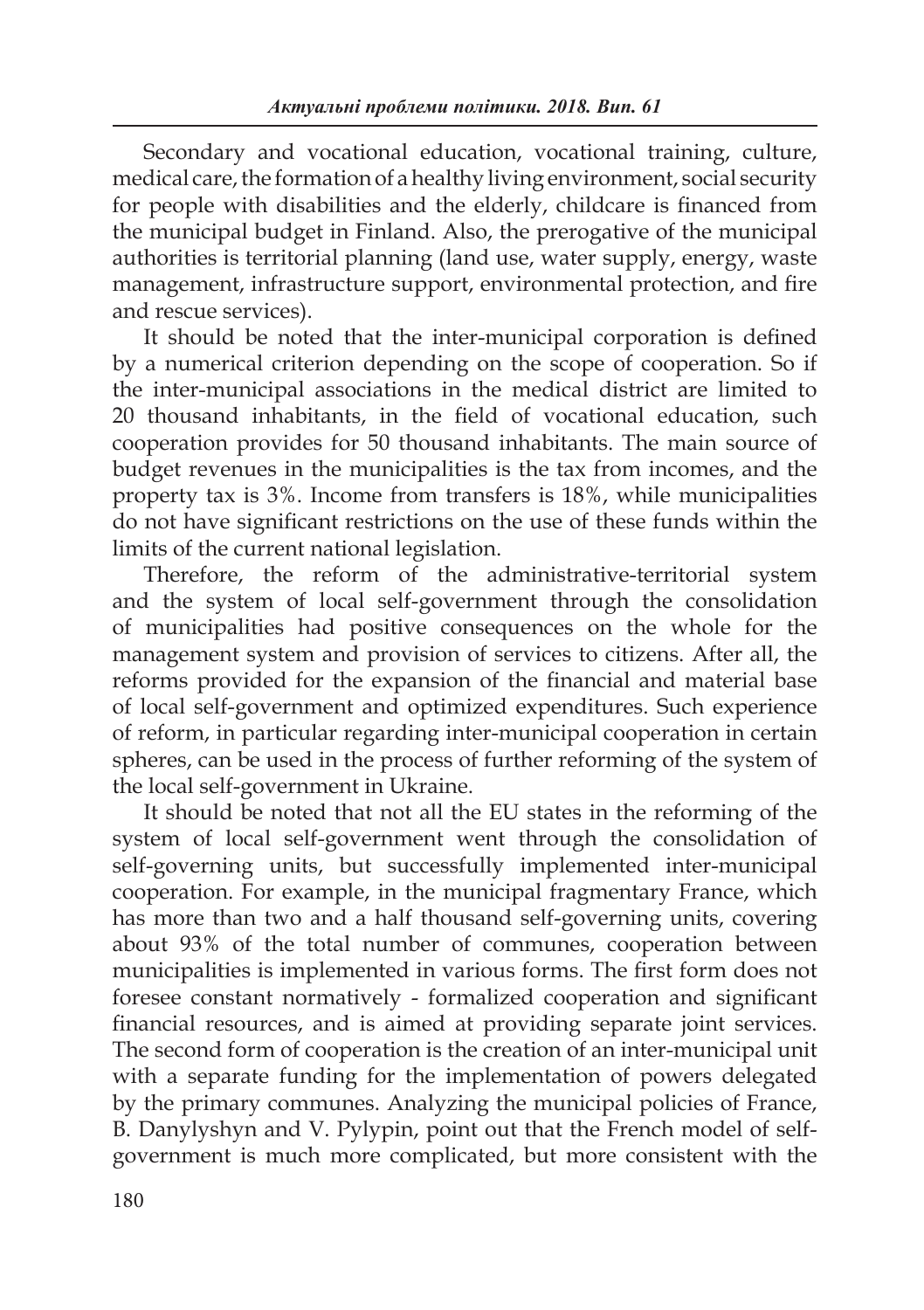Secondary and vocational education, vocational training, culture, medical care, the formation of a healthy living environment, social security for people with disabilities and the elderly, childcare is financed from the municipal budget in Finland. Also, the prerogative of the municipal authorities is territorial planning (land use, water supply, energy, waste management, infrastructure support, environmental protection, and fire and rescue services).

It should be noted that the inter-municipal corporation is defined by a numerical criterion depending on the scope of cooperation. So if the inter-municipal associations in the medical district are limited to 20 thousand inhabitants, in the field of vocational education, such cooperation provides for 50 thousand inhabitants. The main source of budget revenues in the municipalities is the tax from incomes, and the property tax is 3%. Income from transfers is 18%, while municipalities do not have significant restrictions on the use of these funds within the limits of the current national legislation.

Therefore, the reform of the administrative-territorial system and the system of local self-government through the consolidation of municipalities had positive consequences on the whole for the management system and provision of services to citizens. After all, the reforms provided for the expansion of the financial and material base of local self-government and optimized expenditures. Such experience of reform, in particular regarding inter-municipal cooperation in certain spheres, can be used in the process of further reforming of the system of the local self-government in Ukraine.

It should be noted that not all the EU states in the reforming of the system of local self-government went through the consolidation of self-governing units, but successfully implemented inter-municipal cooperation. For example, in the municipal fragmentary France, which has more than two and a half thousand self-governing units, covering about 93% of the total number of communes, cooperation between municipalities is implemented in various forms. The first form does not foresee constant normatively - formalized cooperation and significant financial resources, and is aimed at providing separate joint services. The second form of cooperation is the creation of an inter-municipal unit with a separate funding for the implementation of powers delegated by the primary communes. Analyzing the municipal policies of France, B. Danylyshyn and V. Pylypin, point out that the French model of selfgovernment is much more complicated, but more consistent with the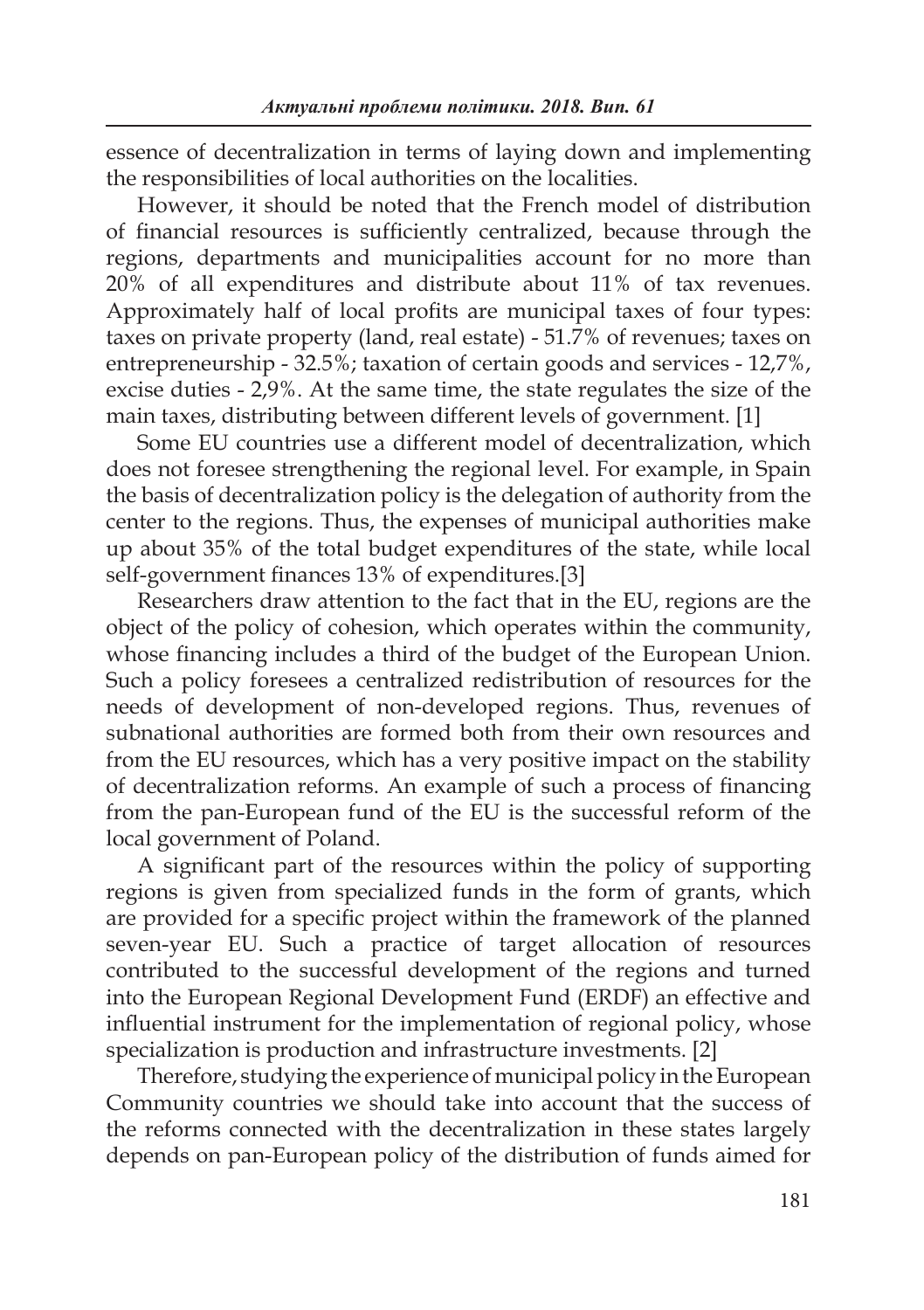essence of decentralization in terms of laying down and implementing the responsibilities of local authorities on the localities.

However, it should be noted that the French model of distribution of financial resources is sufficiently centralized, because through the regions, departments and municipalities account for no more than 20% of all expenditures and distribute about 11% of tax revenues. Approximately half of local profits are municipal taxes of four types: taxes on private property (land, real estate) - 51.7% of revenues; taxes on entrepreneurship - 32.5%; taxation of certain goods and services - 12,7%, excise duties - 2,9%. At the same time, the state regulates the size of the main taxes, distributing between different levels of government. [1]

Some EU countries use a different model of decentralization, which does not foresee strengthening the regional level. For example, in Spain the basis of decentralization policy is the delegation of authority from the center to the regions. Thus, the expenses of municipal authorities make up about 35% of the total budget expenditures of the state, while local self-government finances 13% of expenditures.[3]

Researchers draw attention to the fact that in the EU, regions are the object of the policy of cohesion, which operates within the community, whose financing includes a third of the budget of the European Union. Such a policy foresees a centralized redistribution of resources for the needs of development of non-developed regions. Thus, revenues of subnational authorities are formed both from their own resources and from the EU resources, which has a very positive impact on the stability of decentralization reforms. An example of such a process of financing from the pan-European fund of the EU is the successful reform of the local government of Poland.

A significant part of the resources within the policy of supporting regions is given from specialized funds in the form of grants, which are provided for a specific project within the framework of the planned seven-year EU. Such a practice of target allocation of resources contributed to the successful development of the regions and turned into the European Regional Development Fund (ERDF) an effective and influential instrument for the implementation of regional policy, whose specialization is production and infrastructure investments. [2]

Therefore, studying the experience of municipal policy in the European Community countries we should take into account that the success of the reforms connected with the decentralization in these states largely depends on pan-European policy of the distribution of funds aimed for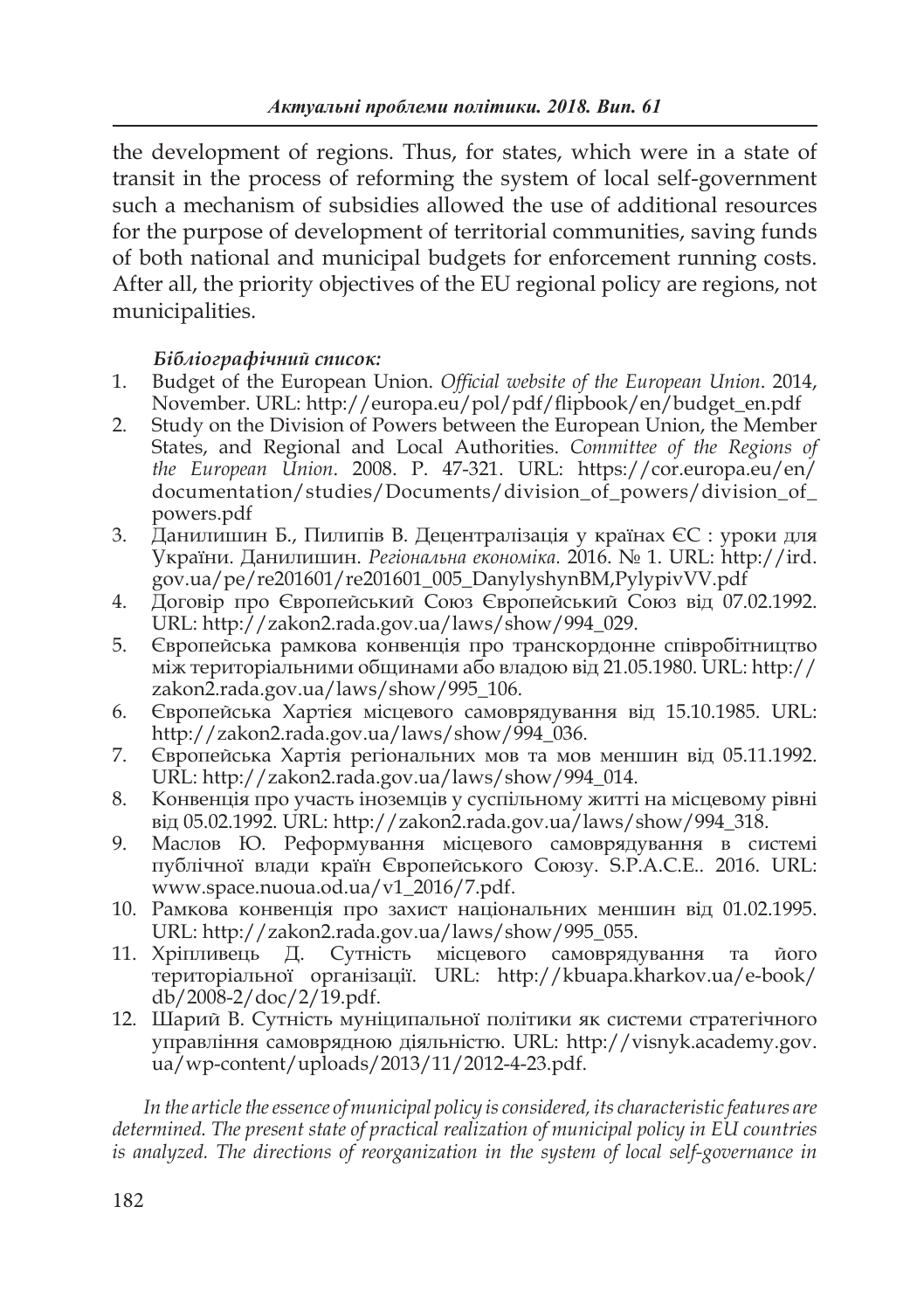the development of regions. Thus, for states, which were in a state of transit in the process of reforming the system of local self-government such a mechanism of subsidies allowed the use of additional resources for the purpose of development of territorial communities, saving funds of both national and municipal budgets for enforcement running costs. After all, the priority objectives of the EU regional policy are regions, not municipalities.

## *Бібліографічний список:*

- 1. Budget of the European Union. *Official website of the European Union*. 2014, November. URL: http://europa.eu/pol/pdf/flipbook/en/budget\_en.pdf
- 2. Study on the Division of Powers between the European Union, the Member States, and Regional and Local Authorities. *Committee of the Regions of the European Union*. 2008. P. 47-321. URL: https://cor.europa.eu/en/ documentation/studies/Documents/division\_of\_powers/division\_of powers.pdf
- 3. Данилишин Б., Пилипів В. Децентралізація у країнах ЄС : уроки для України. Данилишин. *Регіональна економіка.* 2016. № 1. URL: http://ird. gov.ua/pe/re201601/re201601\_005\_DanylyshynBM,PylypivVV.pdf
- 4. Договір про Європейський Союз Європейський Союз від 07.02.1992. URL: http://zakon2.rada.gov.ua/laws/show/994\_029.
- 5. Європейська рамкова конвенція про транскордонне співробітництво між територіальними общинами або владою від 21.05.1980. URL: http:// zakon2.rada.gov.ua/laws/show/995\_106.
- 6. Європейська Хартієя місцевого самоврядування від 15.10.1985. URL: http://zakon2.rada.gov.ua/laws/show/994\_036.
- 7. Європейська Хартія регіональних мов та мов меншин від 05.11.1992. URL: http://zakon2.rada.gov.ua/laws/show/994\_014.
- 8. Конвенція про участь іноземців у суспільному житті на місцевому рівні від 05.02.1992. URL: http://zakon2.rada.gov.ua/laws/show/994\_318.
- 9. Маслов Ю. Реформування місцевого самоврядування в системі публічної влади країн Європейського Союзу. S.P.A.C.E.. 2016. URL: www.space.nuoua.od.ua/v1\_2016/7.pdf.
- 10. Рамкова конвенція про захист національних меншин від 01.02.1995. URL: http://zakon2.rada.gov.ua/laws/show/995\_055.
- 11. Хріпливець Д. Сутність місцевого самоврядування та його територіальної організації. URL: http://kbuapa.kharkov.ua/e-book/  $db/2008-2/doc/2/19.pdf.$
- 12. Шарий В. Сутність муніципальної політики як системи стратегічного управління самоврядною діяльністю. URL: http://visnyk.academy.gov. ua/wp-content/uploads/2013/11/2012-4-23.pdf.

*In the article the essence of municipal policy is considered, its characteristic features are determined. The present state of practical realization of municipal policy in EU countries is analyzed. The directions of reorganization in the system of local self-governance in*